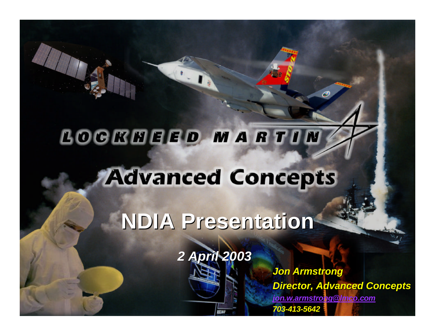# LOCKHEED MARTIN **Advanced Concepts**

**NDIA Presentation**

*2 April 2003*

*PERMARTIN 703-413-5642 Jon Armstrong Director, Advanced Concepts jon.w.armstrong@lmco.com*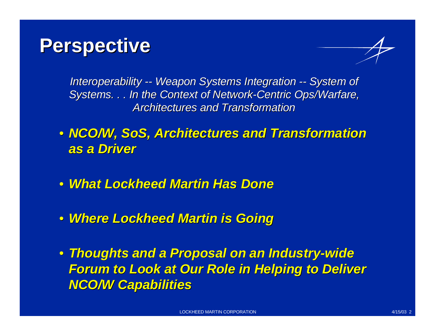### **Perspective**



*Interoperability -- Weapon Systems Integration -- System of Systems. . . In the Context of Network-Centric Ops/Warfare, Architectures and Transformation*

- *NCO/W, SoS, Architectures and Transformation as a Driver*
- *What Lockheed Martin Has Done*
- *Where Lockheed Martin is Going*
- *Thoughts and a Proposal on an Industry-wide Forum to Look at Our Role in Helping to Deliver NCO/W Capabilities*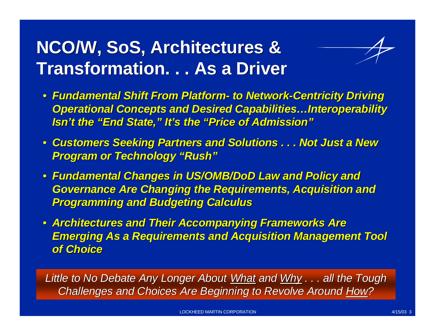### **NCO/W, SoS, Architectures & Transformation. . . As a Driver**



- *Fundamental Shift From Platform- to Network-Centricity Driving Operational Concepts and Desired Capabilities…Interoperability Isn't the "End State," It's the "Price of Admission"*
- *Customers Seeking Partners and Solutions . . . Not Just a New Program or Technology "Rush"*
- *Fundamental Changes in US/OMB/DoD Law and Policy and Governance Are Changing the Requirements, Acquisition and Programming and Budgeting Calculus*
- *Architectures and Their Accompanying Frameworks Are Emerging As a Requirements and Acquisition Management Tool of Choice*

*Little to No Debate Any Longer About What and Why . . . all the Tough Challenges and Choices Are Beginning to Revolve Around How?*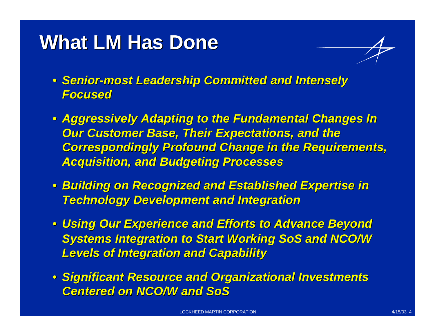## **What LM Has Done**

- *Senior-most Leadership Committed and Intensely Focused*
- *Aggressively Adapting to the Fundamental Changes In Our Customer Base, Their Expectations, and the Correspondingly Profound Change in the Requirements, Acquisition, and Budgeting Processes*
- *Building on Recognized and Established Expertise in Technology Development and Integration*
- *Using Our Experience and Efforts to Advance Beyond Systems Integration to Start Working SoS and NCO/W Levels of Integration and Capability*
- *Significant Resource and Organizational Investments Centered on NCO/W and SoS*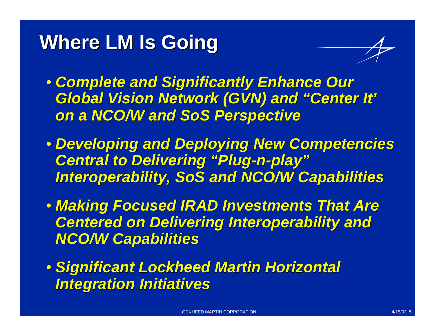## **Where LM Is Going**



- *Complete and Significantly Enhance Our Global Vision Network (GVN) and "Center It' on a NCO/W and SoS Perspective*
- *Developing and Deploying New Competencies Central to Delivering "Plug-n-play" Interoperability, SoS and NCO/W Capabilities*
- *Making Focused IRAD Investments That Are Centered on Delivering Interoperability and NCO/W Capabilities*
- *Significant Lockheed Martin Horizontal Integration Initiatives*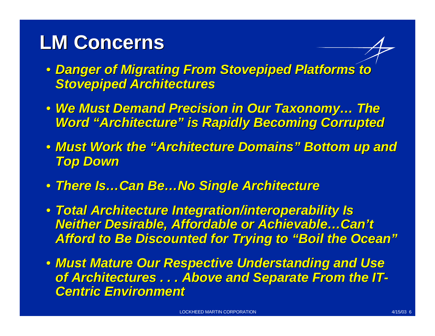## **LM Concerns**

- *Danger of Migrating From Stovepiped Platforms to Stovepiped Architectures*
- *We Must Demand Precision in Our Taxonomy… The Word "Architecture" is Rapidly Becoming Corrupted*
- *Must Work the "Architecture Domains" Bottom up and Top Down*
- *There Is…Can Be…No Single Architecture*
- *Total Architecture Integration/interoperability Is Neither Desirable, Affordable or Achievable…Can't Afford to Be Discounted for Trying to "Boil the Ocean"*
- *Must Mature Our Respective Understanding and Use of Architectures . . . Above and Separate From the IT-Centric Environment*